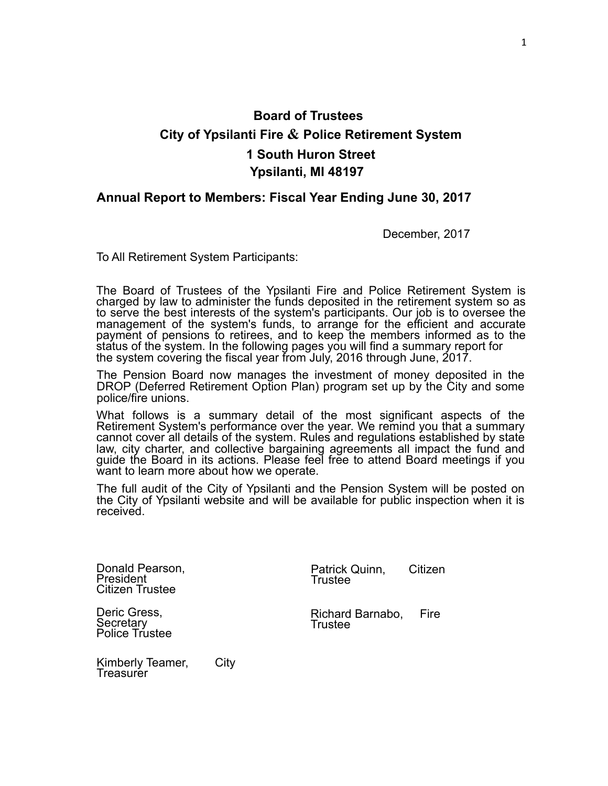# **Board of Trustees City of Ypsilanti Fire & Police Retirement System 1 South Huron Street Ypsilanti, MI 48197**

## **Annual Report to Members: Fiscal Year Ending June 30, 2017**

December, 2017

To All Retirement System Participants:

The Board of Trustees of the Ypsilanti Fire and Police Retirement System is charged by law to administer the funds deposited in the retirement system so as to serve the best interests of the system's participants. Our job is to oversee the management of the system's funds, to arrange for the efficient and accurate payment of pensions to retirees, and to keep the members informed as to the status of the system. In the following pages you will find a summary report for the system covering the fiscal year from July, 2016 through June, 2017.

The Pension Board now manages the investment of money deposited in the DROP (Deferred Retirement Option Plan) program set up by the City and some police/fire unions.

What follows is a summary detail of the most significant aspects of the Retirement System's performance over the year. We remind you that a summary cannot cover all details of the system. Rules and regulations established by state law, city charter, and collective bargaining agreements all impact the fund and guide the Board in its actions. Please feel free to attend Board meetings if you want to learn more about how we operate.

The full audit of the City of Ypsilanti and the Pension System will be posted on the City of Ypsilanti website and will be available for public inspection when it is received.

Donald Pearson, President Citizen Trustee

Patrick Quinn, Citizen Trustee

Deric Gress, **Secretary** Police Trustee Richard Barnabo, Fire Trustee

Kimberly Teamer, City **Treasurer**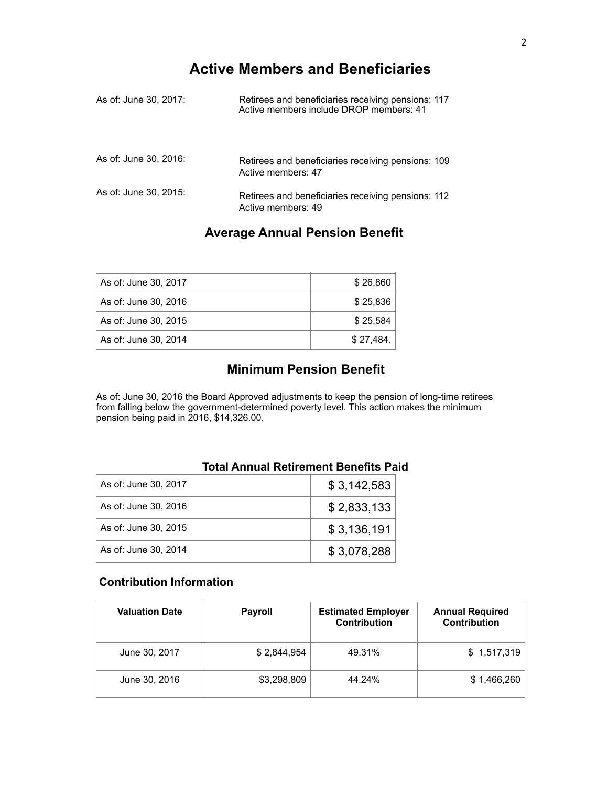# **Active Members and Beneficiaries**

| As of: June 30, 2017: | Retirees and beneficiaries receiving pensions: 117<br>Active members include DROP members: 41 |
|-----------------------|-----------------------------------------------------------------------------------------------|
| As of: June 30, 2016: | Retirees and beneficiaries receiving pensions: 109<br>Active members: 47                      |
| As of: June 30, 2015: | Retirees and beneficiaries receiving pensions: 112<br>Active members: 49                      |

# **Average Annual Pension Benefit**

| As of: June 30, 2017 | \$26.860  |
|----------------------|-----------|
| As of: June 30, 2016 | \$25.836  |
| As of: June 30, 2015 | \$25.584  |
| As of: June 30, 2014 | \$27.484. |

# **Minimum Pension Benefit**

As of: June 30, 2016 the Board Approved adjustments to keep the pension of long-time retirees from falling below the government-determined poverty level. This action makes the minimum pension being paid in 2016, \$14,326.00.

| Total Annual Retirement Benefits Pa |  |             |
|-------------------------------------|--|-------------|
| As of: June 30, 2017                |  | \$3,142,583 |
| As of: June 30, 2016                |  | \$2,833,133 |
| As of: June 30, 2015                |  | \$3,136,191 |
| As of: June 30, 2014                |  | \$3,078,288 |

# **Total Annual Retirement Benefits Paid**

## **Contribution Information**

| <b>Valuation Date</b> | <b>Payroll</b> | <b>Estimated Employer</b><br>Contribution | <b>Annual Required</b><br><b>Contribution</b> |
|-----------------------|----------------|-------------------------------------------|-----------------------------------------------|
| June 30, 2017         | \$2.844.954    | 49.31%                                    | \$1,517,319                                   |
| June 30, 2016         | \$3,298,809    | 44.24%                                    | \$1,466,260                                   |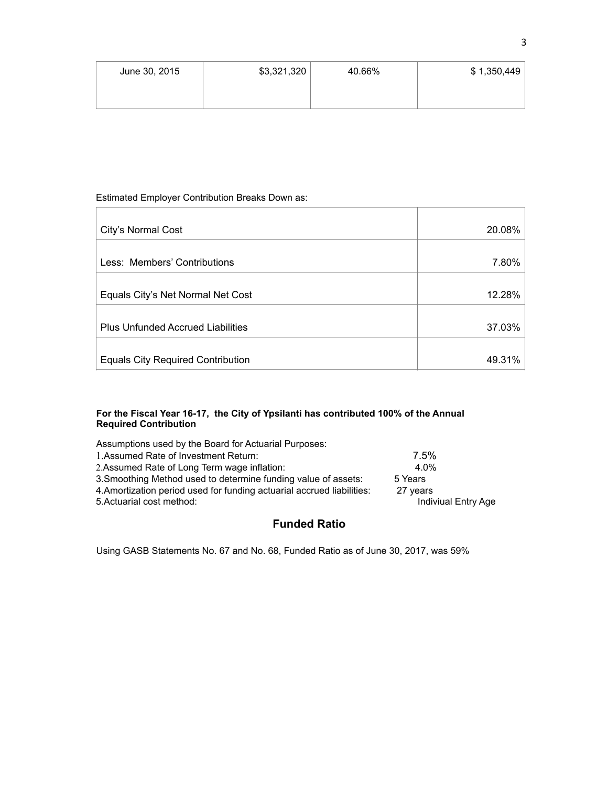| June 30, 2015 | \$3,321,320 | 40.66% | \$1,350,449 |
|---------------|-------------|--------|-------------|
|               |             |        |             |

#### Estimated Employer Contribution Breaks Down as:

| City's Normal Cost                       | 20.08% |
|------------------------------------------|--------|
| Less: Members' Contributions             | 7.80%  |
| Equals City's Net Normal Net Cost        | 12.28% |
| <b>Plus Unfunded Accrued Liabilities</b> | 37.03% |
| <b>Equals City Required Contribution</b> | 49.31% |

#### **For the Fiscal Year 16-17, the City of Ypsilanti has contributed 100% of the Annual Required Contribution**

| Assumptions used by the Board for Actuarial Purposes:                  |                     |
|------------------------------------------------------------------------|---------------------|
| 1. Assumed Rate of Investment Return:                                  | 7.5%                |
| 2. Assumed Rate of Long Term wage inflation:                           | 4.0%                |
| 3. Smoothing Method used to determine funding value of assets:         | 5 Years             |
| 4. Amortization period used for funding actuarial accrued liabilities: | 27 years            |
| 5. Actuarial cost method:                                              | Indiviual Entry Age |
|                                                                        |                     |

# **Funded Ratio**

Using GASB Statements No. 67 and No. 68, Funded Ratio as of June 30, 2017, was 59%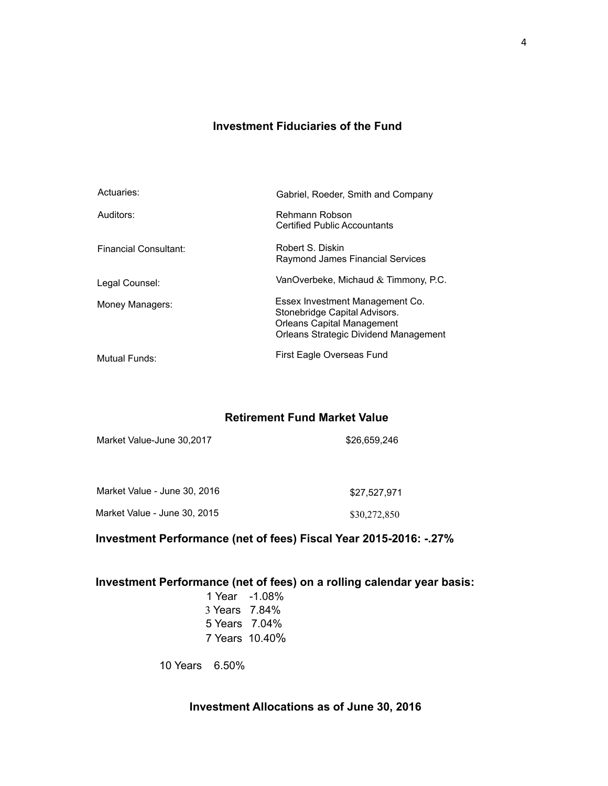# **Investment Fiduciaries of the Fund**

| Actuaries:            | Gabriel, Roeder, Smith and Company                                                                                                      |
|-----------------------|-----------------------------------------------------------------------------------------------------------------------------------------|
| Auditors:             | Rehmann Robson<br><b>Certified Public Accountants</b>                                                                                   |
| Financial Consultant: | Robert S. Diskin<br>Raymond James Financial Services                                                                                    |
| Legal Counsel:        | VanOverbeke, Michaud $&$ Timmony, P.C.                                                                                                  |
| Money Managers:       | Essex Investment Management Co.<br>Stonebridge Capital Advisors.<br>Orleans Capital Management<br>Orleans Strategic Dividend Management |
| Mutual Funds:         | First Eagle Overseas Fund                                                                                                               |

#### **Retirement Fund Market Value**

| Market Value - June 30, 2016 | \$27.527.971 |
|------------------------------|--------------|
| Market Value - June 30, 2015 | \$30,272,850 |

Market Value-June 30,2017 \$26,659,246

# **Investment Performance (net of fees) Fiscal Year 2015-2016: -.27%**

# **Investment Performance (net of fees) on a rolling calendar year basis:**

| -1.08%         |
|----------------|
| 7.84%          |
| 7.04%          |
| 7 Years 10.40% |
|                |

10 Years 6.50%

# **Investment Allocations as of June 30, 2016**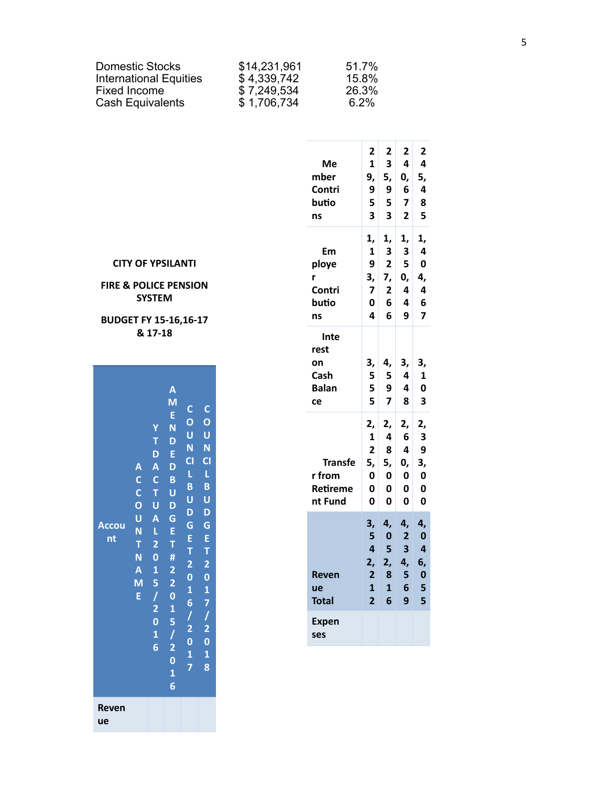| <b>Domestic Stocks</b>        | \$14,231,961 | 51.7%   |
|-------------------------------|--------------|---------|
| <b>International Equities</b> | \$4,339,742  | 15.8%   |
| Fixed Income                  | \$7,249,534  | 26.3%   |
| Cash Equivalents              | \$1,706,734  | $6.2\%$ |

|                                                                                                                                                                                                   | Me<br>mber<br>Contri<br>butio<br>ns              | 2<br>$\mathbf{1}$<br>9,<br>9<br>5<br>3                                                       | 2<br>3<br>5,<br>9<br>5<br>3                                        | 2<br>4<br>0,<br>6<br>7<br>$\overline{\mathbf{c}}$ | 2<br>4<br>5,<br>4<br>8<br>5                                              |
|---------------------------------------------------------------------------------------------------------------------------------------------------------------------------------------------------|--------------------------------------------------|----------------------------------------------------------------------------------------------|--------------------------------------------------------------------|---------------------------------------------------|--------------------------------------------------------------------------|
| ΙTΙ<br><b>SION</b><br>$16 - 17$                                                                                                                                                                   | Em<br>ploye<br>r<br>Contri<br>butio<br>ns        | 1,<br>1<br>9<br>3,<br>$\overline{\mathbf{z}}$<br>0<br>4                                      | 1,<br>3<br>2<br>7,<br>2<br>6<br>6                                  | 1,<br>3<br>5<br>0,<br>4<br>4<br>9                 | 1,<br>4<br>0<br>4,<br>4<br>6<br>7                                        |
| $\mathbf C$<br>$\mathbf C$                                                                                                                                                                        | Inte<br>rest<br>on<br>Cash<br><b>Balan</b><br>ce | 3,<br>5<br>5<br>5                                                                            | 4,<br>5<br>9<br>7                                                  | 3,<br>4<br>4<br>8                                 | 3,<br>1<br>0<br>3                                                        |
| $\mathbf O$<br>$\mathbf{O}$<br>Ū<br>U<br>N<br>N<br>CI<br>C1<br>L<br>L<br>B<br>B<br>U<br>U                                                                                                         | <b>Transfe</b><br>r from<br>Retireme<br>nt Fund  | 2,<br>$\mathbf{1}$<br>$\overline{\mathbf{2}}$<br>5,<br>0<br>0<br>0                           | 2,<br>4<br>8<br>5,<br>0<br>0<br>0                                  | 2,<br>6<br>4<br>0,<br>0<br>0<br>0                 | 2,<br>3<br>9<br>3,<br>0<br>0<br>0                                        |
| D<br>D<br>G<br>G<br>E<br>E<br>T<br>T<br>$\overline{\mathbf{c}}$<br>$\overline{\mathbf{c}}$<br>$\overline{\mathbf{0}}$<br>$\bf{0}$<br>$\mathbf{1}$<br>$\mathbf{1}$<br>7<br>$\overline{\mathbf{6}}$ | <b>Reven</b><br>ue<br><b>Total</b>               | 3,<br>5<br>$\overline{\mathbf{4}}$<br>2,<br>$\overline{2}$<br>$\mathbf{1}$<br>$\overline{2}$ | 4,<br>$\bf{0}$<br>5<br>2,<br>8<br>$\mathbf{1}$<br>$\boldsymbol{6}$ | 4,<br>$\overline{2}$<br>3<br>4,<br>5<br>6<br>9    | 4,<br>$\bf{0}$<br>4<br>6,<br>$\mathbf 0$<br>$\overline{\mathbf{5}}$<br>5 |
| $\begin{array}{c} 1 \\ 2 \\ 0 \end{array}$<br>$\frac{1}{2}$<br>$\overline{\mathbf{0}}$<br>$\mathbf{1}$<br>$\mathbf{1}$                                                                            | <b>Expen</b><br>ses                              |                                                                                              |                                                                    |                                                   |                                                                          |
|                                                                                                                                                                                                   |                                                  |                                                                                              |                                                                    |                                                   |                                                                          |

**CITY OF YPSILAN** 

## FIRE & POLICE PEN! **SYSTEM**

**BUDGET FY 15-16,1** & 17-18

**Accou** 

 $nt$ 

Reven ue

 $\overline{\mathsf{A}}$ 

 $\mathsf{M}$ 

 $\mathsf E$ Y N T D  $D - E$ A A D  $C$   $C$   $B$ C T U O U D U A G

 $N$   $L$   $E$ 

M 5 2  $E / I$ 

 $2<sub>T</sub>$  $N$  0 #  $A \quad 1$ 

 $\overline{2}$ 

 $\mathbf{0}$  $2 \quad 1$  $0<sub>5</sub>$  $\mathbf{1}$  $6<sup>2</sup>$  $\mathbf 0$  $\overline{\mathbf{1}}$  $6\phantom{a}$ 

 $\mathsf T$